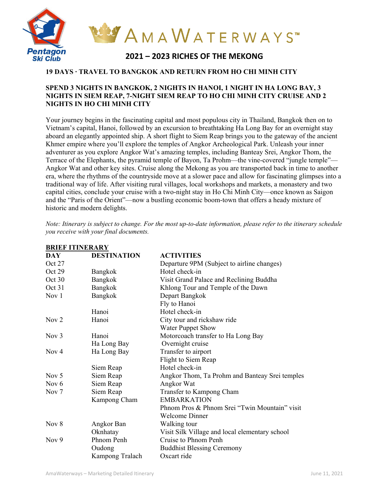

### **19 DAYS ∙ TRAVEL TO BANGKOK AND RETURN FROM HO CHI MINH CITY**

#### **SPEND 3 NIGHTS IN BANGKOK, 2 NIGHTS IN HANOI, 1 NIGHT IN HA LONG BAY, 3 NIGHTS IN SIEM REAP, 7-NIGHT SIEM REAP TO HO CHI MINH CITY CRUISE AND 2 NIGHTS IN HO CHI MINH CITY**

Your journey begins in the fascinating capital and most populous city in Thailand, Bangkok then on to Vietnam's capital, Hanoi, followed by an excursion to breathtaking Ha Long Bay for an overnight stay aboard an elegantly appointed ship. A short flight to Siem Reap brings you to the gateway of the ancient Khmer empire where you'll explore the temples of Angkor Archeological Park. Unleash your inner adventurer as you explore Angkor Wat's amazing temples, including Banteay Srei, Angkor Thom, the Terrace of the Elephants, the pyramid temple of Bayon, Ta Prohm—the vine-covered "jungle temple"— Angkor Wat and other key sites. Cruise along the Mekong as you are transported back in time to another era, where the rhythms of the countryside move at a slower pace and allow for fascinating glimpses into a traditional way of life. After visiting rural villages, local workshops and markets, a monastery and two capital cities, conclude your cruise with a two-night stay in Ho Chi Minh City—once known as Saigon and the "Paris of the Orient"—now a bustling economic boom-town that offers a heady mixture of historic and modern delights.

*Note: Itinerary is subject to change. For the most up-to-date information, please refer to the itinerary schedule you receive with your final documents.*

|                  | DIMET TI TINENAIN L |                                                |  |
|------------------|---------------------|------------------------------------------------|--|
| DAY.             | <b>DESTINATION</b>  | <b>ACTIVITIES</b>                              |  |
| Oct 27           |                     | Departure 9PM (Subject to airline changes)     |  |
| Oct 29           | Bangkok             | Hotel check-in                                 |  |
| Oct 30           | Bangkok             | Visit Grand Palace and Reclining Buddha        |  |
| Oct 31           | Bangkok             | Khlong Tour and Temple of the Dawn             |  |
| Nov 1            | Bangkok             | Depart Bangkok                                 |  |
|                  |                     | Fly to Hanoi                                   |  |
|                  | Hanoi               | Hotel check-in                                 |  |
| Nov $2$          | Hanoi               | City tour and rickshaw ride                    |  |
|                  |                     | <b>Water Puppet Show</b>                       |  |
| Nov $3$          | Hanoi               | Motorcoach transfer to Ha Long Bay             |  |
|                  | Ha Long Bay         | Overnight cruise                               |  |
| Now 4            | Ha Long Bay         | Transfer to airport                            |  |
|                  |                     | Flight to Siem Reap                            |  |
|                  | Siem Reap           | Hotel check-in                                 |  |
| Nov $5$          | Siem Reap           | Angkor Thom, Ta Prohm and Banteay Srei temples |  |
| Nov $6$          | Siem Reap           | Angkor Wat                                     |  |
| Nov <sub>7</sub> | Siem Reap           | Transfer to Kampong Cham                       |  |
|                  | Kampong Cham        | <b>EMBARKATION</b>                             |  |
|                  |                     | Phnom Pros & Phnom Srei "Twin Mountain" visit  |  |
|                  |                     | <b>Welcome Dinner</b>                          |  |
| Nov $8$          | Angkor Ban          | Walking tour                                   |  |
|                  | Oknhatay            | Visit Silk Village and local elementary school |  |
| Nov 9            | Phnom Penh          | Cruise to Phnom Penh                           |  |
|                  | Oudong              | <b>Buddhist Blessing Ceremony</b>              |  |
|                  | Kampong Tralach     | Oxcart ride                                    |  |

**BRIEF ITINERARY**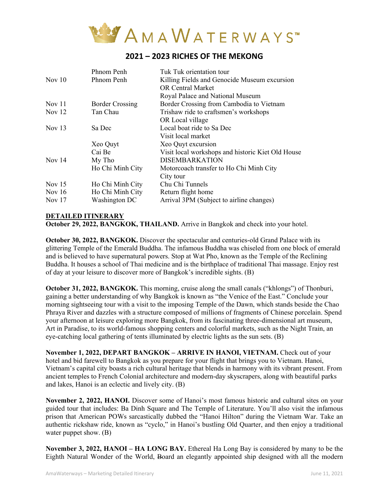

### **2021 – 2023 RICHES OF THE MEKONG**

|          | Phnom Penh             | Tuk Tuk orientation tour                          |
|----------|------------------------|---------------------------------------------------|
| Nov $10$ | Phnom Penh             | Killing Fields and Genocide Museum excursion      |
|          |                        | <b>OR Central Market</b>                          |
|          |                        | Royal Palace and National Museum                  |
| Nov $11$ | <b>Border Crossing</b> | Border Crossing from Cambodia to Vietnam          |
| Nov $12$ | Tan Chau               | Trishaw ride to craftsmen's workshops             |
|          |                        | OR Local village                                  |
| Nov $13$ | Sa Dec                 | Local boat ride to Sa Dec                         |
|          |                        | Visit local market                                |
|          | Xeo Quyt               | Xeo Quyt excursion                                |
|          | Cai Be                 | Visit local workshops and historic Kiet Old House |
| Nov $14$ | My Tho                 | <b>DISEMBARKATION</b>                             |
|          | Ho Chi Minh City       | Motorcoach transfer to Ho Chi Minh City           |
|          |                        | City tour                                         |
| Nov $15$ | Ho Chi Minh City       | Chu Chi Tunnels                                   |
| Nov $16$ | Ho Chi Minh City       | Return flight home                                |
| Nov $17$ | Washington DC          | Arrival 3PM (Subject to airline changes)          |
|          |                        |                                                   |

#### **DETAILED ITINERARY**

**October 29, 2022, BANGKOK, THAILAND.** Arrive in Bangkok and check into your hotel.

**October 30, 2022, BANGKOK.** Discover the spectacular and centuries-old Grand Palace with its glittering Temple of the Emerald Buddha. The infamous Buddha was chiseled from one block of emerald and is believed to have supernatural powers. Stop at Wat Pho, known as the Temple of the Reclining Buddha. It houses a school of Thai medicine and is the birthplace of traditional Thai massage. Enjoy rest of day at your leisure to discover more of Bangkok's incredible sights. (B)

**October 31, 2022, BANGKOK.** This morning, cruise along the small canals ("khlongs") of Thonburi, gaining a better understanding of why Bangkok is known as "the Venice of the East." Conclude your morning sightseeing tour with a visit to the imposing Temple of the Dawn, which stands beside the Chao Phraya River and dazzles with a structure composed of millions of fragments of Chinese porcelain. Spend your afternoon at leisure exploring more Bangkok, from its fascinating three-dimensional art museum, Art in Paradise, to its world-famous shopping centers and colorful markets, such as the Night Train, an eye-catching local gathering of tents illuminated by electric lights as the sun sets. (B)

**November 1, 2022, DEPART BANGKOK – ARRIVE IN HANOI, VIETNAM.** Check out of your hotel and bid farewell to Bangkok as you prepare for your flight that brings you to Vietnam. Hanoi, Vietnam's capital city boasts a rich cultural heritage that blends in harmony with its vibrant present. From ancient temples to French Colonial architecture and modern-day skyscrapers, along with beautiful parks and lakes, Hanoi is an eclectic and lively city. (B)

**November 2, 2022, HANOI.** Discover some of Hanoi's most famous historic and cultural sites on your guided tour that includes: Ba Dinh Square and The Temple of Literature. You'll also visit the infamous prison that American POWs sarcastically dubbed the "Hanoi Hilton" during the Vietnam War. Take an authentic rickshaw ride, known as "cyclo," in Hanoi's bustling Old Quarter, and then enjoy a traditional water puppet show. (B)

**November 3, 2022, HANOI – HA LONG BAY.** Ethereal Ha Long Bay is considered by many to be the Eighth Natural Wonder of the World, Board an elegantly appointed ship designed with all the modern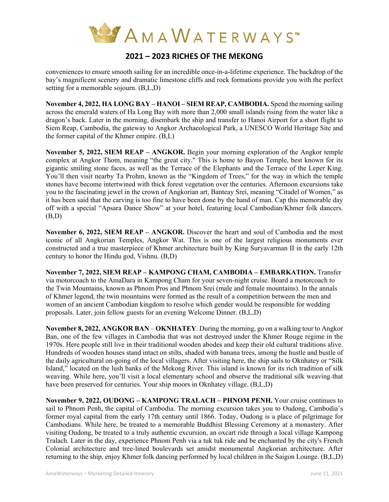

# **2021 – 2023 RICHES OF THE MEKONG**

conveniences to ensure smooth sailing for an incredible once-in-a-lifetime experience. The backdrop of the bay's magnificent scenery and dramatic limestone cliffs and rock formations provide you with the perfect setting for a memorable sojourn. (B,L,D)

**November 4, 2022, HA LONG BAY – HANOI – SIEM REAP, CAMBODIA.** Spend the morning sailing across the emerald waters of Ha Long Bay with more than 2,000 small islands rising from the water like a dragon's back. Later in the morning, disembark the ship and transfer to Hanoi Airport for a short flight to Siem Reap, Cambodia, the gateway to Angkor Archaeological Park, a UNESCO World Heritage Site and the former capital of the Khmer empire. (B,L)

**November 5, 2022, SIEM REAP – ANGKOR.** Begin your morning exploration of the Angkor temple complex at Angkor Thom, meaning "the great city." This is home to Bayon Temple, best known for its gigantic smiling stone faces, as well as the Terrace of the Elephants and the Terrace of the Leper King. You'll then visit nearby Ta Prohm, known as the "Kingdom of Trees," for the way in which the temple stones have become intertwined with thick forest vegetation over the centuries. Afternoon excursions take you to the fascinating jewel in the crown of Angkorian art, Banteay Srei, meaning "Citadel of Women," as it has been said that the carving is too fine to have been done by the hand of man. Cap this memorable day off with a special "Apsara Dance Show" at your hotel, featuring local Cambodian/Khmer folk dancers. (B,D)

**November 6, 2022, SIEM REAP – ANGKOR.** Discover the heart and soul of Cambodia and the most iconic of all Angkorian Temples, Angkor Wat. This is one of the largest religious monuments ever constructed and a true masterpiece of Khmer architecture built by King Suryavarman II in the early 12th century to honor the Hindu god, Vishnu. (B,D)

**November 7, 2022, SIEM REAP – KAMPONG CHAM, CAMBODIA – EMBARKATION.** Transfer via motorcoach to the AmaDara in Kampong Cham for your seven-night cruise. Board a motorcoach to the Twin Mountains, known as Phnom Pros and Phnom Srei (male and female mountains). In the annals of Khmer legend, the twin mountains were formed as the result of a competition between the men and women of an ancient Cambodian kingdom to resolve which gender would be responsible for wedding proposals. Later, join fellow guests for an evening Welcome Dinner. (B,L,D)

**November 8, 2022, ANGKOR BAN** – **OKNHATEY**. During the morning, go on a walking tour to Angkor Ban, one of the few villages in Cambodia that was not destroyed under the Khmer Rouge regime in the 1970s. Here people still live in their traditional wooden abodes and keep their old cultural traditions alive. Hundreds of wooden houses stand intact on stilts, shaded with banana trees, among the hustle and bustle of the daily agricultural on-going of the local villagers. After visiting here, the ship sails to Oknhatey or "Silk Island," located on the lush banks of the Mekong River. This island is known for its rich tradition of silk weaving. While here, you'll visit a local elementary school and observe the traditional silk weaving that have been preserved for centuries. Your ship moors in Oknhatey village. (B,L,D)

**November 9, 2022, OUDONG – KAMPONG TRALACH – PHNOM PENH.** Your cruise continues to sail to Phnom Penh, the capital of Cambodia. The morning excursion takes you to Oudong, Cambodia's former royal capital from the early 17th century until 1866. Today, Oudong is a place of pilgrimage for Cambodians. While here, be treated to a memorable Buddhist Blessing Ceremony at a monastery. After visiting Oudong, be treated to a truly authentic excursion, an oxcart ride through a local village Kampong Tralach. Later in the day, experience Phnom Penh via a tuk tuk ride and be enchanted by the city's French Colonial architecture and tree-lined boulevards set amidst monumental Angkorian architecture. After returning to the ship, enjoy Khmer folk dancing performed by local children in the Saigon Lounge. (B,L,D)